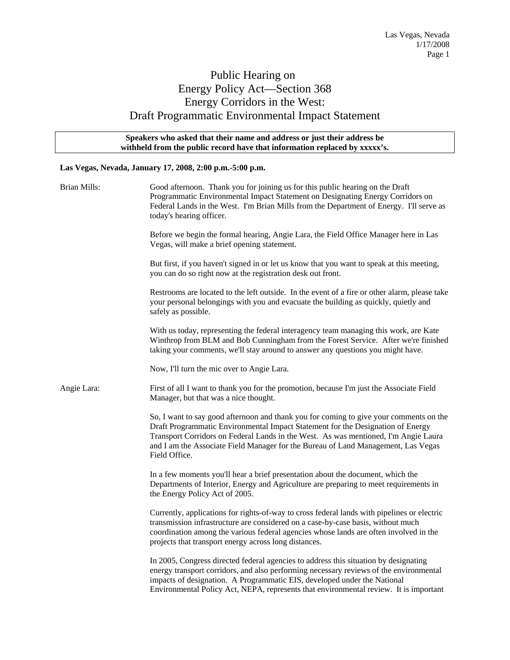## Public Hearing on Energy Policy Act—Section 368 Energy Corridors in the West: Draft Programmatic Environmental Impact Statement

## **Speakers who asked that their name and address or just their address be withheld from the public record have that information replaced by xxxxx's.**

## **Las Vegas, Nevada, January 17, 2008, 2:00 p.m.-5:00 p.m.**

| <b>Brian Mills:</b> | Good afternoon. Thank you for joining us for this public hearing on the Draft<br>Programmatic Environmental Impact Statement on Designating Energy Corridors on<br>Federal Lands in the West. I'm Brian Mills from the Department of Energy. I'll serve as<br>today's hearing officer.                                                                                 |
|---------------------|------------------------------------------------------------------------------------------------------------------------------------------------------------------------------------------------------------------------------------------------------------------------------------------------------------------------------------------------------------------------|
|                     | Before we begin the formal hearing, Angie Lara, the Field Office Manager here in Las<br>Vegas, will make a brief opening statement.                                                                                                                                                                                                                                    |
|                     | But first, if you haven't signed in or let us know that you want to speak at this meeting,<br>you can do so right now at the registration desk out front.                                                                                                                                                                                                              |
|                     | Restrooms are located to the left outside. In the event of a fire or other alarm, please take<br>your personal belongings with you and evacuate the building as quickly, quietly and<br>safely as possible.                                                                                                                                                            |
|                     | With us today, representing the federal interagency team managing this work, are Kate<br>Winthrop from BLM and Bob Cunningham from the Forest Service. After we're finished<br>taking your comments, we'll stay around to answer any questions you might have.                                                                                                         |
|                     | Now, I'll turn the mic over to Angie Lara.                                                                                                                                                                                                                                                                                                                             |
| Angie Lara:         | First of all I want to thank you for the promotion, because I'm just the Associate Field<br>Manager, but that was a nice thought.                                                                                                                                                                                                                                      |
|                     | So, I want to say good afternoon and thank you for coming to give your comments on the<br>Draft Programmatic Environmental Impact Statement for the Designation of Energy<br>Transport Corridors on Federal Lands in the West. As was mentioned, I'm Angie Laura<br>and I am the Associate Field Manager for the Bureau of Land Management, Las Vegas<br>Field Office. |
|                     | In a few moments you'll hear a brief presentation about the document, which the<br>Departments of Interior, Energy and Agriculture are preparing to meet requirements in<br>the Energy Policy Act of 2005.                                                                                                                                                             |
|                     | Currently, applications for rights-of-way to cross federal lands with pipelines or electric<br>transmission infrastructure are considered on a case-by-case basis, without much<br>coordination among the various federal agencies whose lands are often involved in the<br>projects that transport energy across long distances.                                      |
|                     | In 2005, Congress directed federal agencies to address this situation by designating<br>energy transport corridors, and also performing necessary reviews of the environmental<br>impacts of designation. A Programmatic EIS, developed under the National<br>Environmental Policy Act, NEPA, represents that environmental review. It is important                    |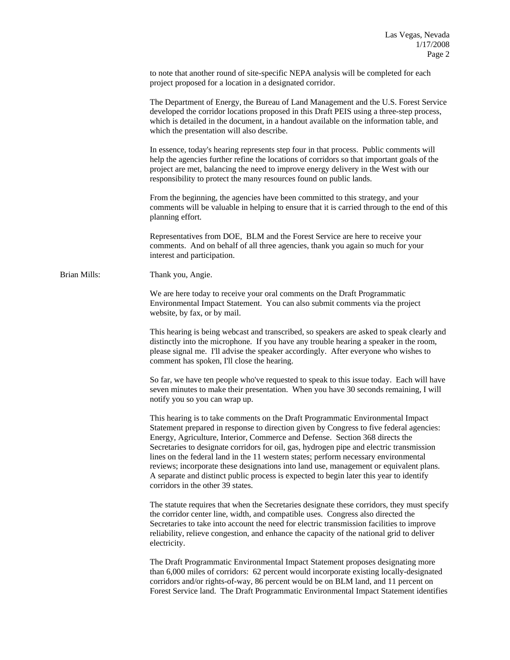to note that another round of site-specific NEPA analysis will be completed for each project proposed for a location in a designated corridor.

 The Department of Energy, the Bureau of Land Management and the U.S. Forest Service developed the corridor locations proposed in this Draft PEIS using a three-step process, which is detailed in the document, in a handout available on the information table, and which the presentation will also describe.

 In essence, today's hearing represents step four in that process. Public comments will help the agencies further refine the locations of corridors so that important goals of the project are met, balancing the need to improve energy delivery in the West with our responsibility to protect the many resources found on public lands.

 From the beginning, the agencies have been committed to this strategy, and your comments will be valuable in helping to ensure that it is carried through to the end of this planning effort.

 Representatives from DOE, BLM and the Forest Service are here to receive your comments. And on behalf of all three agencies, thank you again so much for your interest and participation.

Brian Mills: Thank you, Angie.

We are here today to receive your oral comments on the Draft Programmatic Environmental Impact Statement. You can also submit comments via the project website, by fax, or by mail.

This hearing is being webcast and transcribed, so speakers are asked to speak clearly and distinctly into the microphone. If you have any trouble hearing a speaker in the room, please signal me. I'll advise the speaker accordingly. After everyone who wishes to comment has spoken, I'll close the hearing.

So far, we have ten people who've requested to speak to this issue today. Each will have seven minutes to make their presentation. When you have 30 seconds remaining, I will notify you so you can wrap up.

This hearing is to take comments on the Draft Programmatic Environmental Impact Statement prepared in response to direction given by Congress to five federal agencies: Energy, Agriculture, Interior, Commerce and Defense. Section 368 directs the Secretaries to designate corridors for oil, gas, hydrogen pipe and electric transmission lines on the federal land in the 11 western states; perform necessary environmental reviews; incorporate these designations into land use, management or equivalent plans. A separate and distinct public process is expected to begin later this year to identify corridors in the other 39 states.

The statute requires that when the Secretaries designate these corridors, they must specify the corridor center line, width, and compatible uses. Congress also directed the Secretaries to take into account the need for electric transmission facilities to improve reliability, relieve congestion, and enhance the capacity of the national grid to deliver electricity.

The Draft Programmatic Environmental Impact Statement proposes designating more than 6,000 miles of corridors: 62 percent would incorporate existing locally-designated corridors and/or rights-of-way, 86 percent would be on BLM land, and 11 percent on Forest Service land. The Draft Programmatic Environmental Impact Statement identifies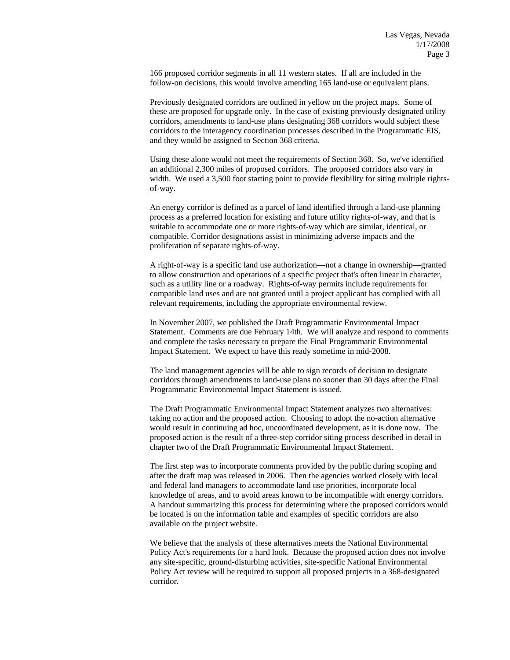166 proposed corridor segments in all 11 western states. If all are included in the follow-on decisions, this would involve amending 165 land-use or equivalent plans.

 Previously designated corridors are outlined in yellow on the project maps. Some of these are proposed for upgrade only. In the case of existing previously designated utility corridors, amendments to land-use plans designating 368 corridors would subject these corridors to the interagency coordination processes described in the Programmatic EIS, and they would be assigned to Section 368 criteria.

 Using these alone would not meet the requirements of Section 368. So, we've identified an additional 2,300 miles of proposed corridors. The proposed corridors also vary in width. We used a 3,500 foot starting point to provide flexibility for siting multiple rightsof-way.

 An energy corridor is defined as a parcel of land identified through a land-use planning process as a preferred location for existing and future utility rights-of-way, and that is suitable to accommodate one or more rights-of-way which are similar, identical, or compatible. Corridor designations assist in minimizing adverse impacts and the proliferation of separate rights-of-way.

 A right-of-way is a specific land use authorization—not a change in ownership—granted to allow construction and operations of a specific project that's often linear in character, such as a utility line or a roadway. Rights-of-way permits include requirements for compatible land uses and are not granted until a project applicant has complied with all relevant requirements, including the appropriate environmental review.

 In November 2007, we published the Draft Programmatic Environmental Impact Statement. Comments are due February 14th. We will analyze and respond to comments and complete the tasks necessary to prepare the Final Programmatic Environmental Impact Statement. We expect to have this ready sometime in mid-2008.

The land management agencies will be able to sign records of decision to designate corridors through amendments to land-use plans no sooner than 30 days after the Final Programmatic Environmental Impact Statement is issued.

The Draft Programmatic Environmental Impact Statement analyzes two alternatives: taking no action and the proposed action. Choosing to adopt the no-action alternative would result in continuing ad hoc, uncoordinated development, as it is done now. The proposed action is the result of a three-step corridor siting process described in detail in chapter two of the Draft Programmatic Environmental Impact Statement.

The first step was to incorporate comments provided by the public during scoping and after the draft map was released in 2006. Then the agencies worked closely with local and federal land managers to accommodate land use priorities, incorporate local knowledge of areas, and to avoid areas known to be incompatible with energy corridors. A handout summarizing this process for determining where the proposed corridors would be located is on the information table and examples of specific corridors are also available on the project website.

We believe that the analysis of these alternatives meets the National Environmental Policy Act's requirements for a hard look. Because the proposed action does not involve any site-specific, ground-disturbing activities, site-specific National Environmental Policy Act review will be required to support all proposed projects in a 368-designated corridor.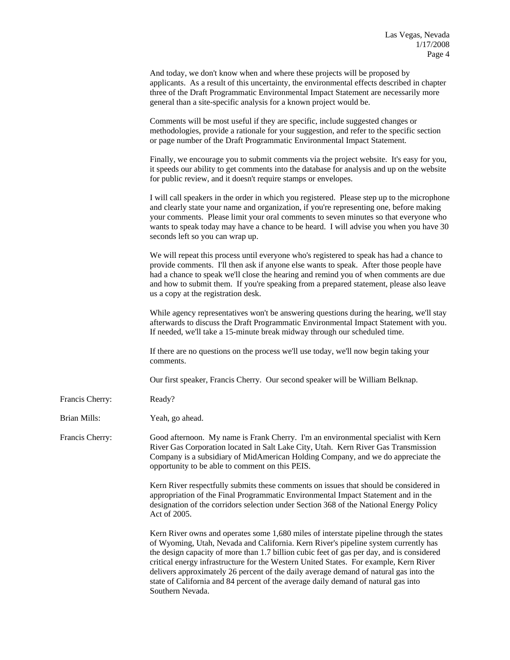|                 | And today, we don't know when and where these projects will be proposed by<br>applicants. As a result of this uncertainty, the environmental effects described in chapter<br>three of the Draft Programmatic Environmental Impact Statement are necessarily more<br>general than a site-specific analysis for a known project would be.                                                                                                                                                                                                                                 |
|-----------------|-------------------------------------------------------------------------------------------------------------------------------------------------------------------------------------------------------------------------------------------------------------------------------------------------------------------------------------------------------------------------------------------------------------------------------------------------------------------------------------------------------------------------------------------------------------------------|
|                 | Comments will be most useful if they are specific, include suggested changes or<br>methodologies, provide a rationale for your suggestion, and refer to the specific section<br>or page number of the Draft Programmatic Environmental Impact Statement.                                                                                                                                                                                                                                                                                                                |
|                 | Finally, we encourage you to submit comments via the project website. It's easy for you,<br>it speeds our ability to get comments into the database for analysis and up on the website<br>for public review, and it doesn't require stamps or envelopes.                                                                                                                                                                                                                                                                                                                |
|                 | I will call speakers in the order in which you registered. Please step up to the microphone<br>and clearly state your name and organization, if you're representing one, before making<br>your comments. Please limit your oral comments to seven minutes so that everyone who<br>wants to speak today may have a chance to be heard. I will advise you when you have 30<br>seconds left so you can wrap up.                                                                                                                                                            |
|                 | We will repeat this process until everyone who's registered to speak has had a chance to<br>provide comments. I'll then ask if anyone else wants to speak. After those people have<br>had a chance to speak we'll close the hearing and remind you of when comments are due<br>and how to submit them. If you're speaking from a prepared statement, please also leave<br>us a copy at the registration desk.                                                                                                                                                           |
|                 | While agency representatives won't be answering questions during the hearing, we'll stay<br>afterwards to discuss the Draft Programmatic Environmental Impact Statement with you.<br>If needed, we'll take a 15-minute break midway through our scheduled time.                                                                                                                                                                                                                                                                                                         |
|                 | If there are no questions on the process we'll use today, we'll now begin taking your<br>comments.                                                                                                                                                                                                                                                                                                                                                                                                                                                                      |
|                 | Our first speaker, Francis Cherry. Our second speaker will be William Belknap.                                                                                                                                                                                                                                                                                                                                                                                                                                                                                          |
| Francis Cherry: | Ready?                                                                                                                                                                                                                                                                                                                                                                                                                                                                                                                                                                  |
| Brian Mills:    | Yeah, go ahead.                                                                                                                                                                                                                                                                                                                                                                                                                                                                                                                                                         |
| Francis Cherry: | Good afternoon. My name is Frank Cherry. I'm an environmental specialist with Kern<br>River Gas Corporation located in Salt Lake City, Utah. Kern River Gas Transmission<br>Company is a subsidiary of MidAmerican Holding Company, and we do appreciate the<br>opportunity to be able to comment on this PEIS.                                                                                                                                                                                                                                                         |
|                 | Kern River respectfully submits these comments on issues that should be considered in<br>appropriation of the Final Programmatic Environmental Impact Statement and in the<br>designation of the corridors selection under Section 368 of the National Energy Policy<br>Act of 2005.                                                                                                                                                                                                                                                                                    |
|                 | Kern River owns and operates some 1,680 miles of interstate pipeline through the states<br>of Wyoming, Utah, Nevada and California. Kern River's pipeline system currently has<br>the design capacity of more than 1.7 billion cubic feet of gas per day, and is considered<br>critical energy infrastructure for the Western United States. For example, Kern River<br>delivers approximately 26 percent of the daily average demand of natural gas into the<br>state of California and 84 percent of the average daily demand of natural gas into<br>Southern Nevada. |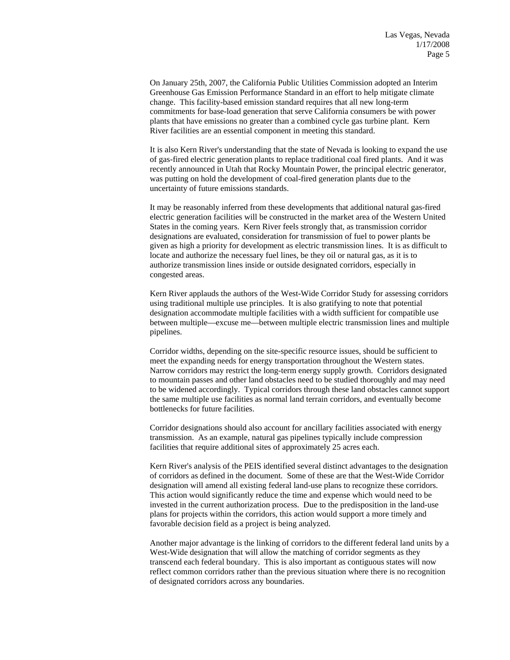On January 25th, 2007, the California Public Utilities Commission adopted an Interim Greenhouse Gas Emission Performance Standard in an effort to help mitigate climate change. This facility-based emission standard requires that all new long-term commitments for base-load generation that serve California consumers be with power plants that have emissions no greater than a combined cycle gas turbine plant. Kern River facilities are an essential component in meeting this standard.

 It is also Kern River's understanding that the state of Nevada is looking to expand the use of gas-fired electric generation plants to replace traditional coal fired plants. And it was recently announced in Utah that Rocky Mountain Power, the principal electric generator, was putting on hold the development of coal-fired generation plants due to the uncertainty of future emissions standards.

 It may be reasonably inferred from these developments that additional natural gas-fired electric generation facilities will be constructed in the market area of the Western United States in the coming years. Kern River feels strongly that, as transmission corridor designations are evaluated, consideration for transmission of fuel to power plants be given as high a priority for development as electric transmission lines. It is as difficult to locate and authorize the necessary fuel lines, be they oil or natural gas, as it is to authorize transmission lines inside or outside designated corridors, especially in congested areas.

Kern River applauds the authors of the West-Wide Corridor Study for assessing corridors using traditional multiple use principles. It is also gratifying to note that potential designation accommodate multiple facilities with a width sufficient for compatible use between multiple—excuse me—between multiple electric transmission lines and multiple pipelines.

Corridor widths, depending on the site-specific resource issues, should be sufficient to meet the expanding needs for energy transportation throughout the Western states. Narrow corridors may restrict the long-term energy supply growth. Corridors designated to mountain passes and other land obstacles need to be studied thoroughly and may need to be widened accordingly. Typical corridors through these land obstacles cannot support the same multiple use facilities as normal land terrain corridors, and eventually become bottlenecks for future facilities.

Corridor designations should also account for ancillary facilities associated with energy transmission. As an example, natural gas pipelines typically include compression facilities that require additional sites of approximately 25 acres each.

Kern River's analysis of the PEIS identified several distinct advantages to the designation of corridors as defined in the document. Some of these are that the West-Wide Corridor designation will amend all existing federal land-use plans to recognize these corridors. This action would significantly reduce the time and expense which would need to be invested in the current authorization process. Due to the predisposition in the land-use plans for projects within the corridors, this action would support a more timely and favorable decision field as a project is being analyzed.

Another major advantage is the linking of corridors to the different federal land units by a West-Wide designation that will allow the matching of corridor segments as they transcend each federal boundary. This is also important as contiguous states will now reflect common corridors rather than the previous situation where there is no recognition of designated corridors across any boundaries.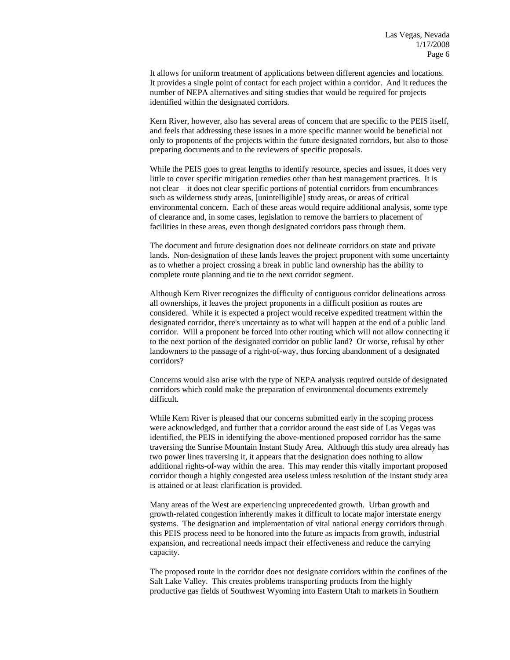It allows for uniform treatment of applications between different agencies and locations. It provides a single point of contact for each project within a corridor. And it reduces the number of NEPA alternatives and siting studies that would be required for projects identified within the designated corridors.

Kern River, however, also has several areas of concern that are specific to the PEIS itself, and feels that addressing these issues in a more specific manner would be beneficial not only to proponents of the projects within the future designated corridors, but also to those preparing documents and to the reviewers of specific proposals.

While the PEIS goes to great lengths to identify resource, species and issues, it does very little to cover specific mitigation remedies other than best management practices. It is not clear—it does not clear specific portions of potential corridors from encumbrances such as wilderness study areas, [unintelligible] study areas, or areas of critical environmental concern. Each of these areas would require additional analysis, some type of clearance and, in some cases, legislation to remove the barriers to placement of facilities in these areas, even though designated corridors pass through them.

The document and future designation does not delineate corridors on state and private lands. Non-designation of these lands leaves the project proponent with some uncertainty as to whether a project crossing a break in public land ownership has the ability to complete route planning and tie to the next corridor segment.

Although Kern River recognizes the difficulty of contiguous corridor delineations across all ownerships, it leaves the project proponents in a difficult position as routes are considered. While it is expected a project would receive expedited treatment within the designated corridor, there's uncertainty as to what will happen at the end of a public land corridor. Will a proponent be forced into other routing which will not allow connecting it to the next portion of the designated corridor on public land? Or worse, refusal by other landowners to the passage of a right-of-way, thus forcing abandonment of a designated corridors?

Concerns would also arise with the type of NEPA analysis required outside of designated corridors which could make the preparation of environmental documents extremely difficult.

While Kern River is pleased that our concerns submitted early in the scoping process were acknowledged, and further that a corridor around the east side of Las Vegas was identified, the PEIS in identifying the above-mentioned proposed corridor has the same traversing the Sunrise Mountain Instant Study Area. Although this study area already has two power lines traversing it, it appears that the designation does nothing to allow additional rights-of-way within the area. This may render this vitally important proposed corridor though a highly congested area useless unless resolution of the instant study area is attained or at least clarification is provided.

Many areas of the West are experiencing unprecedented growth. Urban growth and growth-related congestion inherently makes it difficult to locate major interstate energy systems. The designation and implementation of vital national energy corridors through this PEIS process need to be honored into the future as impacts from growth, industrial expansion, and recreational needs impact their effectiveness and reduce the carrying capacity.

The proposed route in the corridor does not designate corridors within the confines of the Salt Lake Valley. This creates problems transporting products from the highly productive gas fields of Southwest Wyoming into Eastern Utah to markets in Southern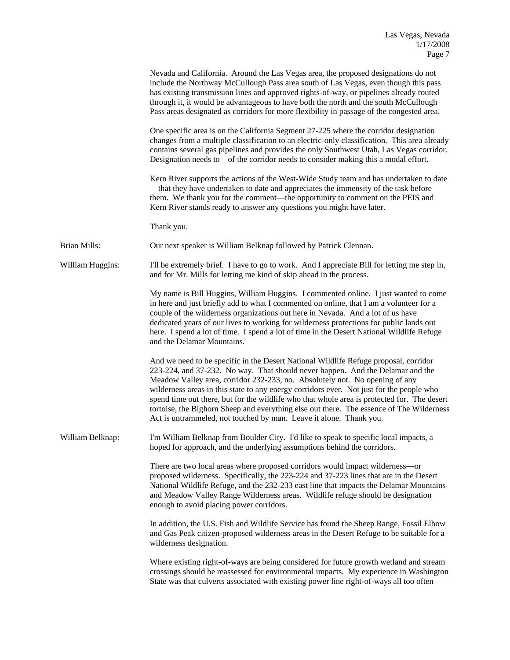|                     | Nevada and California. Around the Las Vegas area, the proposed designations do not<br>include the Northway McCullough Pass area south of Las Vegas, even though this pass<br>has existing transmission lines and approved rights-of-way, or pipelines already routed<br>through it, it would be advantageous to have both the north and the south McCullough<br>Pass areas designated as corridors for more flexibility in passage of the congested area.                                                                                                                                                          |
|---------------------|--------------------------------------------------------------------------------------------------------------------------------------------------------------------------------------------------------------------------------------------------------------------------------------------------------------------------------------------------------------------------------------------------------------------------------------------------------------------------------------------------------------------------------------------------------------------------------------------------------------------|
|                     | One specific area is on the California Segment 27-225 where the corridor designation<br>changes from a multiple classification to an electric-only classification. This area already<br>contains several gas pipelines and provides the only Southwest Utah, Las Vegas corridor.<br>Designation needs to—of the corridor needs to consider making this a modal effort.                                                                                                                                                                                                                                             |
|                     | Kern River supports the actions of the West-Wide Study team and has undertaken to date<br>-that they have undertaken to date and appreciates the immensity of the task before<br>them. We thank you for the comment—the opportunity to comment on the PEIS and<br>Kern River stands ready to answer any questions you might have later.                                                                                                                                                                                                                                                                            |
|                     | Thank you.                                                                                                                                                                                                                                                                                                                                                                                                                                                                                                                                                                                                         |
| <b>Brian Mills:</b> | Our next speaker is William Belknap followed by Patrick Clennan.                                                                                                                                                                                                                                                                                                                                                                                                                                                                                                                                                   |
| William Huggins:    | I'll be extremely brief. I have to go to work. And I appreciate Bill for letting me step in,<br>and for Mr. Mills for letting me kind of skip ahead in the process.                                                                                                                                                                                                                                                                                                                                                                                                                                                |
|                     | My name is Bill Huggins, William Huggins. I commented online. I just wanted to come<br>in here and just briefly add to what I commented on online, that I am a volunteer for a<br>couple of the wilderness organizations out here in Nevada. And a lot of us have<br>dedicated years of our lives to working for wilderness protections for public lands out<br>here. I spend a lot of time. I spend a lot of time in the Desert National Wildlife Refuge<br>and the Delamar Mountains.                                                                                                                            |
|                     | And we need to be specific in the Desert National Wildlife Refuge proposal, corridor<br>223-224, and 37-232. No way. That should never happen. And the Delamar and the<br>Meadow Valley area, corridor 232-233, no. Absolutely not. No opening of any<br>wilderness areas in this state to any energy corridors ever. Not just for the people who<br>spend time out there, but for the wildlife who that whole area is protected for. The desert<br>tortoise, the Bighorn Sheep and everything else out there. The essence of The Wilderness<br>Act is untrammeled, not touched by man. Leave it alone. Thank you. |
| William Belknap:    | I'm William Belknap from Boulder City. I'd like to speak to specific local impacts, a<br>hoped for approach, and the underlying assumptions behind the corridors.                                                                                                                                                                                                                                                                                                                                                                                                                                                  |
|                     | There are two local areas where proposed corridors would impact wilderness-or<br>proposed wilderness. Specifically, the 223-224 and 37-223 lines that are in the Desert<br>National Wildlife Refuge, and the 232-233 east line that impacts the Delamar Mountains<br>and Meadow Valley Range Wilderness areas. Wildlife refuge should be designation<br>enough to avoid placing power corridors.                                                                                                                                                                                                                   |
|                     | In addition, the U.S. Fish and Wildlife Service has found the Sheep Range, Fossil Elbow<br>and Gas Peak citizen-proposed wilderness areas in the Desert Refuge to be suitable for a<br>wilderness designation.                                                                                                                                                                                                                                                                                                                                                                                                     |
|                     | Where existing right-of-ways are being considered for future growth wetland and stream<br>crossings should be reassessed for environmental impacts. My experience in Washington<br>State was that culverts associated with existing power line right-of-ways all too often                                                                                                                                                                                                                                                                                                                                         |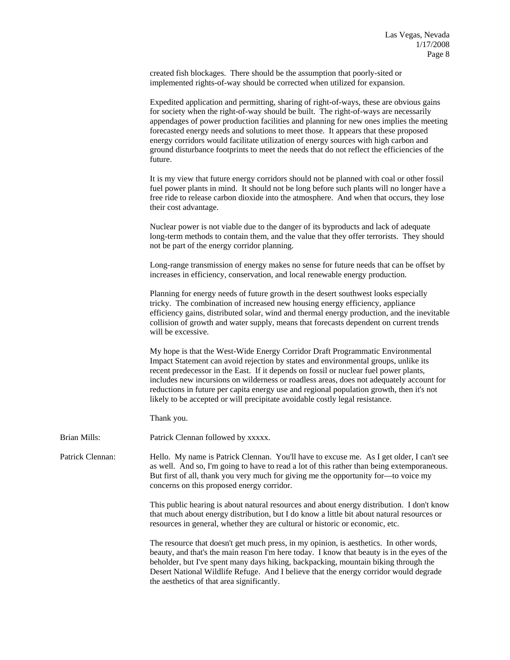created fish blockages. There should be the assumption that poorly-sited or implemented rights-of-way should be corrected when utilized for expansion.

 Expedited application and permitting, sharing of right-of-ways, these are obvious gains for society when the right-of-way should be built. The right-of-ways are necessarily appendages of power production facilities and planning for new ones implies the meeting forecasted energy needs and solutions to meet those. It appears that these proposed energy corridors would facilitate utilization of energy sources with high carbon and ground disturbance footprints to meet the needs that do not reflect the efficiencies of the future.

 It is my view that future energy corridors should not be planned with coal or other fossil fuel power plants in mind. It should not be long before such plants will no longer have a free ride to release carbon dioxide into the atmosphere. And when that occurs, they lose their cost advantage.

 Nuclear power is not viable due to the danger of its byproducts and lack of adequate long-term methods to contain them, and the value that they offer terrorists. They should not be part of the energy corridor planning.

 Long-range transmission of energy makes no sense for future needs that can be offset by increases in efficiency, conservation, and local renewable energy production.

 Planning for energy needs of future growth in the desert southwest looks especially tricky. The combination of increased new housing energy efficiency, appliance efficiency gains, distributed solar, wind and thermal energy production, and the inevitable collision of growth and water supply, means that forecasts dependent on current trends will be excessive.

 My hope is that the West-Wide Energy Corridor Draft Programmatic Environmental Impact Statement can avoid rejection by states and environmental groups, unlike its recent predecessor in the East. If it depends on fossil or nuclear fuel power plants, includes new incursions on wilderness or roadless areas, does not adequately account for reductions in future per capita energy use and regional population growth, then it's not likely to be accepted or will precipitate avoidable costly legal resistance.

Thank you.

Brian Mills: Patrick Clennan followed by xxxxx.

Patrick Clennan: Hello. My name is Patrick Clennan. You'll have to excuse me. As I get older, I can't see as well. And so, I'm going to have to read a lot of this rather than being extemporaneous. But first of all, thank you very much for giving me the opportunity for—to voice my concerns on this proposed energy corridor.

> This public hearing is about natural resources and about energy distribution. I don't know that much about energy distribution, but I do know a little bit about natural resources or resources in general, whether they are cultural or historic or economic, etc.

> The resource that doesn't get much press, in my opinion, is aesthetics. In other words, beauty, and that's the main reason I'm here today. I know that beauty is in the eyes of the beholder, but I've spent many days hiking, backpacking, mountain biking through the Desert National Wildlife Refuge. And I believe that the energy corridor would degrade the aesthetics of that area significantly.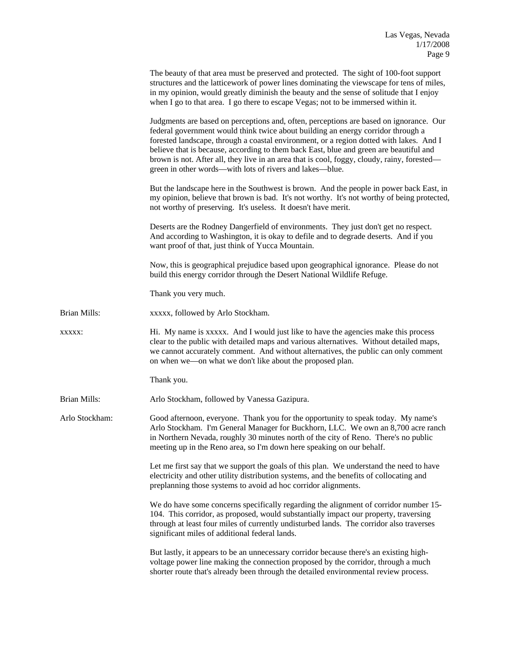|                | The beauty of that area must be preserved and protected. The sight of 100-foot support<br>structures and the latticework of power lines dominating the viewscape for tens of miles,<br>in my opinion, would greatly diminish the beauty and the sense of solitude that I enjoy<br>when I go to that area. I go there to escape Vegas; not to be immersed within it.                                                                                                                                                        |
|----------------|----------------------------------------------------------------------------------------------------------------------------------------------------------------------------------------------------------------------------------------------------------------------------------------------------------------------------------------------------------------------------------------------------------------------------------------------------------------------------------------------------------------------------|
|                | Judgments are based on perceptions and, often, perceptions are based on ignorance. Our<br>federal government would think twice about building an energy corridor through a<br>forested landscape, through a coastal environment, or a region dotted with lakes. And I<br>believe that is because, according to them back East, blue and green are beautiful and<br>brown is not. After all, they live in an area that is cool, foggy, cloudy, rainy, forested—<br>green in other words—with lots of rivers and lakes—blue. |
|                | But the landscape here in the Southwest is brown. And the people in power back East, in<br>my opinion, believe that brown is bad. It's not worthy. It's not worthy of being protected,<br>not worthy of preserving. It's useless. It doesn't have merit.                                                                                                                                                                                                                                                                   |
|                | Deserts are the Rodney Dangerfield of environments. They just don't get no respect.<br>And according to Washington, it is okay to defile and to degrade deserts. And if you<br>want proof of that, just think of Yucca Mountain.                                                                                                                                                                                                                                                                                           |
|                | Now, this is geographical prejudice based upon geographical ignorance. Please do not<br>build this energy corridor through the Desert National Wildlife Refuge.                                                                                                                                                                                                                                                                                                                                                            |
|                | Thank you very much.                                                                                                                                                                                                                                                                                                                                                                                                                                                                                                       |
| Brian Mills:   | xxxxx, followed by Arlo Stockham.                                                                                                                                                                                                                                                                                                                                                                                                                                                                                          |
| <b>XXXXX:</b>  | Hi. My name is xxxxx. And I would just like to have the agencies make this process<br>clear to the public with detailed maps and various alternatives. Without detailed maps,<br>we cannot accurately comment. And without alternatives, the public can only comment<br>on when we—on what we don't like about the proposed plan.                                                                                                                                                                                          |
|                | Thank you.                                                                                                                                                                                                                                                                                                                                                                                                                                                                                                                 |
| Brian Mills:   | Arlo Stockham, followed by Vanessa Gazipura.                                                                                                                                                                                                                                                                                                                                                                                                                                                                               |
| Arlo Stockham: | Good afternoon, everyone. Thank you for the opportunity to speak today. My name's<br>Arlo Stockham. I'm General Manager for Buckhorn, LLC. We own an 8,700 acre ranch<br>in Northern Nevada, roughly 30 minutes north of the city of Reno. There's no public<br>meeting up in the Reno area, so I'm down here speaking on our behalf.                                                                                                                                                                                      |
|                | Let me first say that we support the goals of this plan. We understand the need to have<br>electricity and other utility distribution systems, and the benefits of collocating and<br>preplanning those systems to avoid ad hoc corridor alignments.                                                                                                                                                                                                                                                                       |
|                | We do have some concerns specifically regarding the alignment of corridor number 15-<br>104. This corridor, as proposed, would substantially impact our property, traversing<br>through at least four miles of currently undisturbed lands. The corridor also traverses<br>significant miles of additional federal lands.                                                                                                                                                                                                  |
|                | But lastly, it appears to be an unnecessary corridor because there's an existing high-<br>voltage power line making the connection proposed by the corridor, through a much<br>shorter route that's already been through the detailed environmental review process.                                                                                                                                                                                                                                                        |
|                |                                                                                                                                                                                                                                                                                                                                                                                                                                                                                                                            |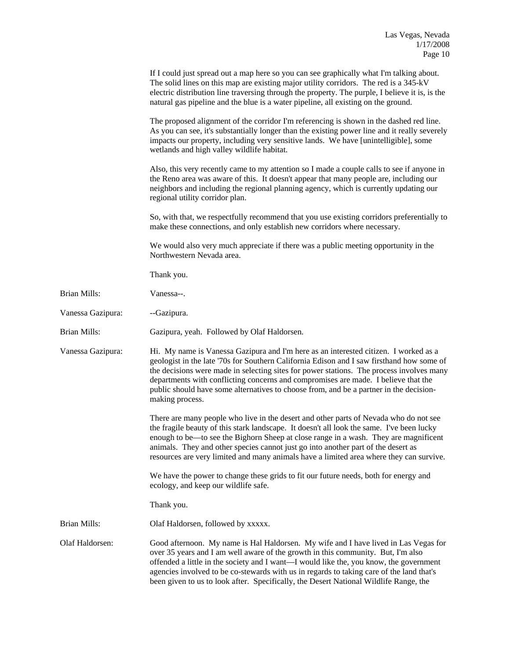|                     | If I could just spread out a map here so you can see graphically what I'm talking about.<br>The solid lines on this map are existing major utility corridors. The red is a 345-kV<br>electric distribution line traversing through the property. The purple, I believe it is, is the<br>natural gas pipeline and the blue is a water pipeline, all existing on the ground.                                                                                                       |
|---------------------|----------------------------------------------------------------------------------------------------------------------------------------------------------------------------------------------------------------------------------------------------------------------------------------------------------------------------------------------------------------------------------------------------------------------------------------------------------------------------------|
|                     | The proposed alignment of the corridor I'm referencing is shown in the dashed red line.<br>As you can see, it's substantially longer than the existing power line and it really severely<br>impacts our property, including very sensitive lands. We have [unintelligible], some<br>wetlands and high valley wildlife habitat.                                                                                                                                                   |
|                     | Also, this very recently came to my attention so I made a couple calls to see if anyone in<br>the Reno area was aware of this. It doesn't appear that many people are, including our<br>neighbors and including the regional planning agency, which is currently updating our<br>regional utility corridor plan.                                                                                                                                                                 |
|                     | So, with that, we respectfully recommend that you use existing corridors preferentially to<br>make these connections, and only establish new corridors where necessary.                                                                                                                                                                                                                                                                                                          |
|                     | We would also very much appreciate if there was a public meeting opportunity in the<br>Northwestern Nevada area.                                                                                                                                                                                                                                                                                                                                                                 |
|                     | Thank you.                                                                                                                                                                                                                                                                                                                                                                                                                                                                       |
| <b>Brian Mills:</b> | Vanessa--.                                                                                                                                                                                                                                                                                                                                                                                                                                                                       |
| Vanessa Gazipura:   | --Gazipura.                                                                                                                                                                                                                                                                                                                                                                                                                                                                      |
| <b>Brian Mills:</b> | Gazipura, yeah. Followed by Olaf Haldorsen.                                                                                                                                                                                                                                                                                                                                                                                                                                      |
| Vanessa Gazipura:   | Hi. My name is Vanessa Gazipura and I'm here as an interested citizen. I worked as a<br>geologist in the late '70s for Southern California Edison and I saw firsthand how some of<br>the decisions were made in selecting sites for power stations. The process involves many<br>departments with conflicting concerns and compromises are made. I believe that the<br>public should have some alternatives to choose from, and be a partner in the decision-<br>making process. |
|                     | There are many people who live in the desert and other parts of Nevada who do not see<br>the fragile beauty of this stark landscape. It doesn't all look the same. I've been lucky<br>enough to be—to see the Bighorn Sheep at close range in a wash. They are magnificent<br>animals. They and other species cannot just go into another part of the desert as<br>resources are very limited and many animals have a limited area where they can survive.                       |
|                     | We have the power to change these grids to fit our future needs, both for energy and<br>ecology, and keep our wildlife safe.                                                                                                                                                                                                                                                                                                                                                     |
|                     | Thank you.                                                                                                                                                                                                                                                                                                                                                                                                                                                                       |
| <b>Brian Mills:</b> | Olaf Haldorsen, followed by xxxxx.                                                                                                                                                                                                                                                                                                                                                                                                                                               |
| Olaf Haldorsen:     | Good afternoon. My name is Hal Haldorsen. My wife and I have lived in Las Vegas for<br>over 35 years and I am well aware of the growth in this community. But, I'm also<br>offended a little in the society and I want—I would like the, you know, the government<br>agencies involved to be co-stewards with us in regards to taking care of the land that's<br>been given to us to look after. Specifically, the Desert National Wildlife Range, the                           |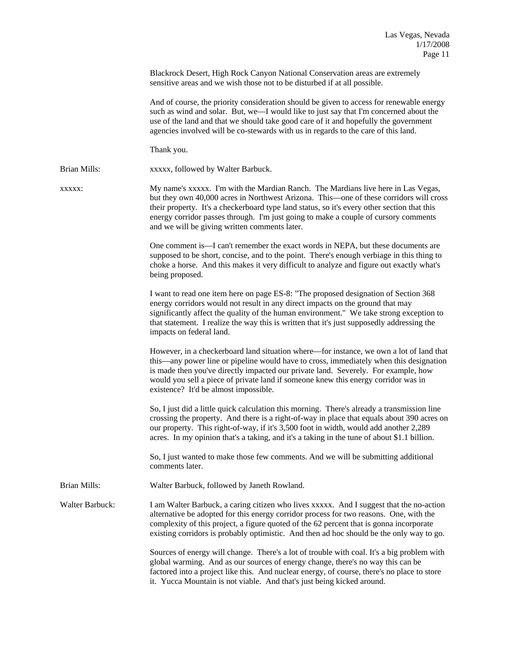Blackrock Desert, High Rock Canyon National Conservation areas are extremely sensitive areas and we wish those not to be disturbed if at all possible.

 And of course, the priority consideration should be given to access for renewable energy such as wind and solar. But, we—I would like to just say that I'm concerned about the use of the land and that we should take good care of it and hopefully the government agencies involved will be co-stewards with us in regards to the care of this land.

Thank you.

Brian Mills: xxxxx, followed by Walter Barbuck.

xxxxx: My name's xxxxx. I'm with the Mardian Ranch. The Mardians live here in Las Vegas, but they own 40,000 acres in Northwest Arizona. This—one of these corridors will cross their property. It's a checkerboard type land status, so it's every other section that this energy corridor passes through. I'm just going to make a couple of cursory comments and we will be giving written comments later.

> One comment is—I can't remember the exact words in NEPA, but these documents are supposed to be short, concise, and to the point. There's enough verbiage in this thing to choke a horse. And this makes it very difficult to analyze and figure out exactly what's being proposed.

> I want to read one item here on page ES-8: "The proposed designation of Section 368 energy corridors would not result in any direct impacts on the ground that may significantly affect the quality of the human environment." We take strong exception to that statement. I realize the way this is written that it's just supposedly addressing the impacts on federal land.

However, in a checkerboard land situation where—for instance, we own a lot of land that this—any power line or pipeline would have to cross, immediately when this designation is made then you've directly impacted our private land. Severely. For example, how would you sell a piece of private land if someone knew this energy corridor was in existence? It'd be almost impossible.

So, I just did a little quick calculation this morning. There's already a transmission line crossing the property. And there is a right-of-way in place that equals about 390 acres on our property. This right-of-way, if it's 3,500 foot in width, would add another 2,289 acres. In my opinion that's a taking, and it's a taking in the tune of about \$1.1 billion.

So, I just wanted to make those few comments. And we will be submitting additional comments later.

Brian Mills: Walter Barbuck, followed by Janeth Rowland.

Walter Barbuck: I am Walter Barbuck, a caring citizen who lives xxxxx. And I suggest that the no-action alternative be adopted for this energy corridor process for two reasons. One, with the complexity of this project, a figure quoted of the 62 percent that is gonna incorporate existing corridors is probably optimistic. And then ad hoc should be the only way to go.

> Sources of energy will change. There's a lot of trouble with coal. It's a big problem with global warming. And as our sources of energy change, there's no way this can be factored into a project like this. And nuclear energy, of course, there's no place to store it. Yucca Mountain is not viable. And that's just being kicked around.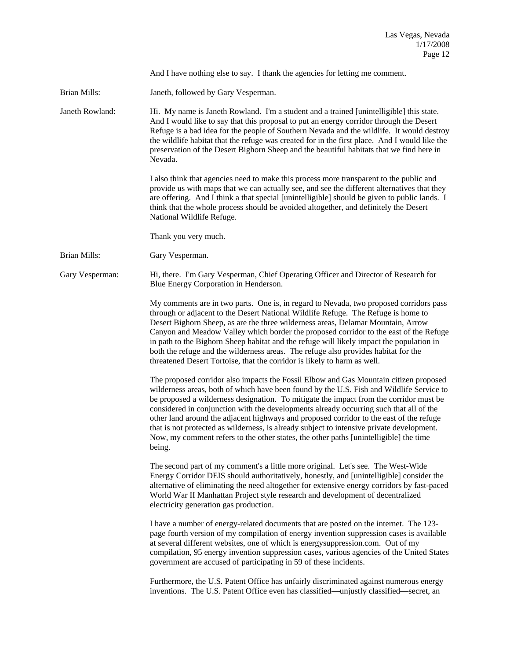And I have nothing else to say. I thank the agencies for letting me comment.

Brian Mills: Janeth, followed by Gary Vesperman.

Janeth Rowland: Hi. My name is Janeth Rowland. I'm a student and a trained [unintelligible] this state. And I would like to say that this proposal to put an energy corridor through the Desert Refuge is a bad idea for the people of Southern Nevada and the wildlife. It would destroy the wildlife habitat that the refuge was created for in the first place. And I would like the preservation of the Desert Bighorn Sheep and the beautiful habitats that we find here in Nevada.

> I also think that agencies need to make this process more transparent to the public and provide us with maps that we can actually see, and see the different alternatives that they are offering. And I think a that special [unintelligible] should be given to public lands. I think that the whole process should be avoided altogether, and definitely the Desert National Wildlife Refuge.

Thank you very much.

Brian Mills: Gary Vesperman.

Gary Vesperman: Hi, there. I'm Gary Vesperman, Chief Operating Officer and Director of Research for Blue Energy Corporation in Henderson.

> My comments are in two parts. One is, in regard to Nevada, two proposed corridors pass through or adjacent to the Desert National Wildlife Refuge. The Refuge is home to Desert Bighorn Sheep, as are the three wilderness areas, Delamar Mountain, Arrow Canyon and Meadow Valley which border the proposed corridor to the east of the Refuge in path to the Bighorn Sheep habitat and the refuge will likely impact the population in both the refuge and the wilderness areas. The refuge also provides habitat for the threatened Desert Tortoise, that the corridor is likely to harm as well.

> The proposed corridor also impacts the Fossil Elbow and Gas Mountain citizen proposed wilderness areas, both of which have been found by the U.S. Fish and Wildlife Service to be proposed a wilderness designation. To mitigate the impact from the corridor must be considered in conjunction with the developments already occurring such that all of the other land around the adjacent highways and proposed corridor to the east of the refuge that is not protected as wilderness, is already subject to intensive private development. Now, my comment refers to the other states, the other paths [unintelligible] the time being.

> The second part of my comment's a little more original. Let's see. The West-Wide Energy Corridor DEIS should authoritatively, honestly, and [unintelligible] consider the alternative of eliminating the need altogether for extensive energy corridors by fast-paced World War II Manhattan Project style research and development of decentralized electricity generation gas production.

> I have a number of energy-related documents that are posted on the internet. The 123 page fourth version of my compilation of energy invention suppression cases is available at several different websites, one of which is energysuppression.com. Out of my compilation, 95 energy invention suppression cases, various agencies of the United States government are accused of participating in 59 of these incidents.

 Furthermore, the U.S. Patent Office has unfairly discriminated against numerous energy inventions. The U.S. Patent Office even has classified—unjustly classified—secret, an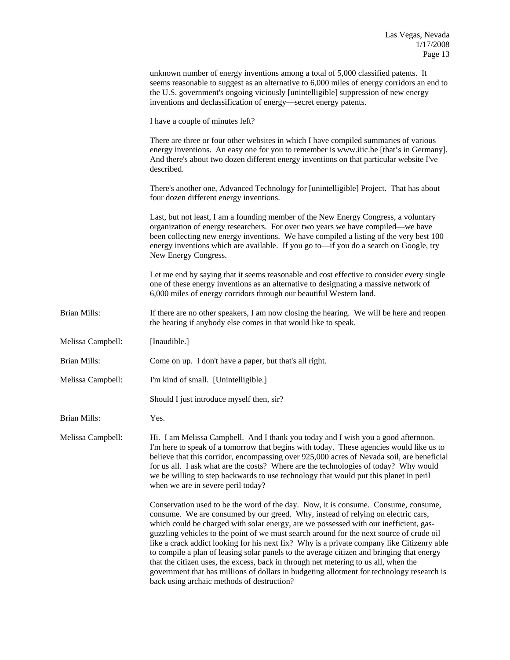|                   | unknown number of energy inventions among a total of 5,000 classified patents. It<br>seems reasonable to suggest as an alternative to 6,000 miles of energy corridors an end to<br>the U.S. government's ongoing viciously [unintelligible] suppression of new energy<br>inventions and declassification of energy—secret energy patents.                                                                                                                                                                                                                                                                                                                                                                                                                                                |
|-------------------|------------------------------------------------------------------------------------------------------------------------------------------------------------------------------------------------------------------------------------------------------------------------------------------------------------------------------------------------------------------------------------------------------------------------------------------------------------------------------------------------------------------------------------------------------------------------------------------------------------------------------------------------------------------------------------------------------------------------------------------------------------------------------------------|
|                   | I have a couple of minutes left?                                                                                                                                                                                                                                                                                                                                                                                                                                                                                                                                                                                                                                                                                                                                                         |
|                   | There are three or four other websites in which I have compiled summaries of various<br>energy inventions. An easy one for you to remember is www.iiic.be [that's in Germany].<br>And there's about two dozen different energy inventions on that particular website I've<br>described.                                                                                                                                                                                                                                                                                                                                                                                                                                                                                                  |
|                   | There's another one, Advanced Technology for [unintelligible] Project. That has about<br>four dozen different energy inventions.                                                                                                                                                                                                                                                                                                                                                                                                                                                                                                                                                                                                                                                         |
|                   | Last, but not least, I am a founding member of the New Energy Congress, a voluntary<br>organization of energy researchers. For over two years we have compiled—we have<br>been collecting new energy inventions. We have compiled a listing of the very best 100<br>energy inventions which are available. If you go to-if you do a search on Google, try<br>New Energy Congress.                                                                                                                                                                                                                                                                                                                                                                                                        |
|                   | Let me end by saying that it seems reasonable and cost effective to consider every single<br>one of these energy inventions as an alternative to designating a massive network of<br>6,000 miles of energy corridors through our beautiful Western land.                                                                                                                                                                                                                                                                                                                                                                                                                                                                                                                                 |
| Brian Mills:      | If there are no other speakers, I am now closing the hearing. We will be here and reopen<br>the hearing if anybody else comes in that would like to speak.                                                                                                                                                                                                                                                                                                                                                                                                                                                                                                                                                                                                                               |
| Melissa Campbell: | [Inaudible.]                                                                                                                                                                                                                                                                                                                                                                                                                                                                                                                                                                                                                                                                                                                                                                             |
| Brian Mills:      | Come on up. I don't have a paper, but that's all right.                                                                                                                                                                                                                                                                                                                                                                                                                                                                                                                                                                                                                                                                                                                                  |
| Melissa Campbell: | I'm kind of small. [Unintelligible.]                                                                                                                                                                                                                                                                                                                                                                                                                                                                                                                                                                                                                                                                                                                                                     |
|                   | Should I just introduce myself then, sir?                                                                                                                                                                                                                                                                                                                                                                                                                                                                                                                                                                                                                                                                                                                                                |
| Brian Mills:      | Yes.                                                                                                                                                                                                                                                                                                                                                                                                                                                                                                                                                                                                                                                                                                                                                                                     |
| Melissa Campbell: | Hi. I am Melissa Campbell. And I thank you today and I wish you a good afternoon.<br>I'm here to speak of a tomorrow that begins with today. These agencies would like us to<br>believe that this corridor, encompassing over 925,000 acres of Nevada soil, are beneficial<br>for us all. I ask what are the costs? Where are the technologies of today? Why would<br>we be willing to step backwards to use technology that would put this planet in peril<br>when we are in severe peril today?                                                                                                                                                                                                                                                                                        |
|                   | Conservation used to be the word of the day. Now, it is consume. Consume, consume,<br>consume. We are consumed by our greed. Why, instead of relying on electric cars,<br>which could be charged with solar energy, are we possessed with our inefficient, gas-<br>guzzling vehicles to the point of we must search around for the next source of crude oil<br>like a crack addict looking for his next fix? Why is a private company like Citizenry able<br>to compile a plan of leasing solar panels to the average citizen and bringing that energy<br>that the citizen uses, the excess, back in through net metering to us all, when the<br>government that has millions of dollars in budgeting allotment for technology research is<br>back using archaic methods of destruction? |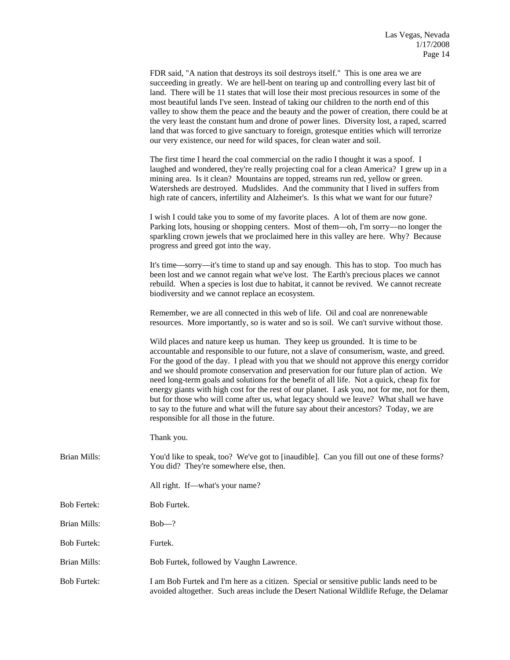|                     | FDR said, "A nation that destroys its soil destroys itself." This is one area we are<br>succeeding in greatly. We are hell-bent on tearing up and controlling every last bit of<br>land. There will be 11 states that will lose their most precious resources in some of the<br>most beautiful lands I've seen. Instead of taking our children to the north end of this<br>valley to show them the peace and the beauty and the power of creation, there could be at<br>the very least the constant hum and drone of power lines. Diversity lost, a raped, scarred<br>land that was forced to give sanctuary to foreign, grotesque entities which will terrorize<br>our very existence, our need for wild spaces, for clean water and soil.                                                   |
|---------------------|-----------------------------------------------------------------------------------------------------------------------------------------------------------------------------------------------------------------------------------------------------------------------------------------------------------------------------------------------------------------------------------------------------------------------------------------------------------------------------------------------------------------------------------------------------------------------------------------------------------------------------------------------------------------------------------------------------------------------------------------------------------------------------------------------|
|                     | The first time I heard the coal commercial on the radio I thought it was a spoof. I<br>laughed and wondered, they're really projecting coal for a clean America? I grew up in a<br>mining area. Is it clean? Mountains are topped, streams run red, yellow or green.<br>Watersheds are destroyed. Mudslides. And the community that I lived in suffers from<br>high rate of cancers, infertility and Alzheimer's. Is this what we want for our future?                                                                                                                                                                                                                                                                                                                                        |
|                     | I wish I could take you to some of my favorite places. A lot of them are now gone.<br>Parking lots, housing or shopping centers. Most of them—oh, I'm sorry—no longer the<br>sparkling crown jewels that we proclaimed here in this valley are here. Why? Because<br>progress and greed got into the way.                                                                                                                                                                                                                                                                                                                                                                                                                                                                                     |
|                     | It's time—sorry—it's time to stand up and say enough. This has to stop. Too much has<br>been lost and we cannot regain what we've lost. The Earth's precious places we cannot<br>rebuild. When a species is lost due to habitat, it cannot be revived. We cannot recreate<br>biodiversity and we cannot replace an ecosystem.                                                                                                                                                                                                                                                                                                                                                                                                                                                                 |
|                     | Remember, we are all connected in this web of life. Oil and coal are nonrenewable<br>resources. More importantly, so is water and so is soil. We can't survive without those.                                                                                                                                                                                                                                                                                                                                                                                                                                                                                                                                                                                                                 |
|                     | Wild places and nature keep us human. They keep us grounded. It is time to be<br>accountable and responsible to our future, not a slave of consumerism, waste, and greed.<br>For the good of the day. I plead with you that we should not approve this energy corridor<br>and we should promote conservation and preservation for our future plan of action. We<br>need long-term goals and solutions for the benefit of all life. Not a quick, cheap fix for<br>energy giants with high cost for the rest of our planet. I ask you, not for me, not for them,<br>but for those who will come after us, what legacy should we leave? What shall we have<br>to say to the future and what will the future say about their ancestors? Today, we are<br>responsible for all those in the future. |
|                     | Thank you.                                                                                                                                                                                                                                                                                                                                                                                                                                                                                                                                                                                                                                                                                                                                                                                    |
| Brian Mills:        | You'd like to speak, too? We've got to [inaudible]. Can you fill out one of these forms?<br>You did? They're somewhere else, then.                                                                                                                                                                                                                                                                                                                                                                                                                                                                                                                                                                                                                                                            |
|                     | All right. If—what's your name?                                                                                                                                                                                                                                                                                                                                                                                                                                                                                                                                                                                                                                                                                                                                                               |
| <b>Bob Fertek:</b>  | Bob Furtek.                                                                                                                                                                                                                                                                                                                                                                                                                                                                                                                                                                                                                                                                                                                                                                                   |
| <b>Brian Mills:</b> | $Bob$ -?                                                                                                                                                                                                                                                                                                                                                                                                                                                                                                                                                                                                                                                                                                                                                                                      |
| <b>Bob Furtek:</b>  | Furtek.                                                                                                                                                                                                                                                                                                                                                                                                                                                                                                                                                                                                                                                                                                                                                                                       |

Brian Mills: Bob Furtek, followed by Vaughn Lawrence.

Bob Furtek: I am Bob Furtek and I'm here as a citizen. Special or sensitive public lands need to be avoided altogether. Such areas include the Desert National Wildlife Refuge, the Delamar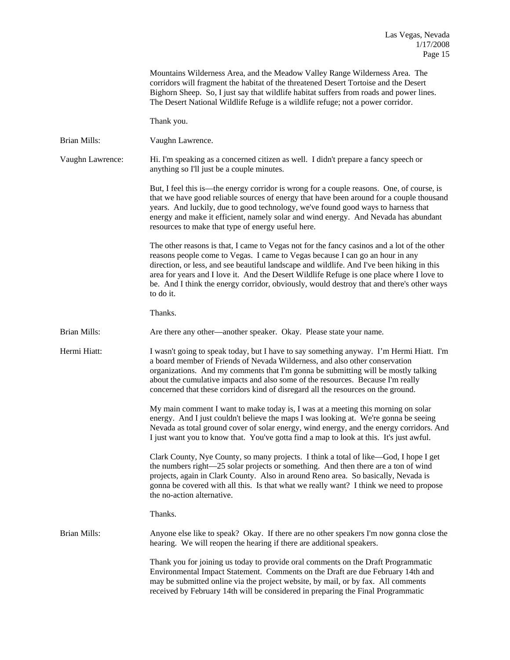|                  | Mountains Wilderness Area, and the Meadow Valley Range Wilderness Area. The<br>corridors will fragment the habitat of the threatened Desert Tortoise and the Desert<br>Bighorn Sheep. So, I just say that wildlife habitat suffers from roads and power lines.<br>The Desert National Wildlife Refuge is a wildlife refuge; not a power corridor.                                                                                                                                 |
|------------------|-----------------------------------------------------------------------------------------------------------------------------------------------------------------------------------------------------------------------------------------------------------------------------------------------------------------------------------------------------------------------------------------------------------------------------------------------------------------------------------|
|                  | Thank you.                                                                                                                                                                                                                                                                                                                                                                                                                                                                        |
| Brian Mills:     | Vaughn Lawrence.                                                                                                                                                                                                                                                                                                                                                                                                                                                                  |
| Vaughn Lawrence: | Hi. I'm speaking as a concerned citizen as well. I didn't prepare a fancy speech or<br>anything so I'll just be a couple minutes.                                                                                                                                                                                                                                                                                                                                                 |
|                  | But, I feel this is—the energy corridor is wrong for a couple reasons. One, of course, is<br>that we have good reliable sources of energy that have been around for a couple thousand<br>years. And luckily, due to good technology, we've found good ways to harness that<br>energy and make it efficient, namely solar and wind energy. And Nevada has abundant<br>resources to make that type of energy useful here.                                                           |
|                  | The other reasons is that, I came to Vegas not for the fancy casinos and a lot of the other<br>reasons people come to Vegas. I came to Vegas because I can go an hour in any<br>direction, or less, and see beautiful landscape and wildlife. And I've been hiking in this<br>area for years and I love it. And the Desert Wildlife Refuge is one place where I love to<br>be. And I think the energy corridor, obviously, would destroy that and there's other ways<br>to do it. |
|                  | Thanks.                                                                                                                                                                                                                                                                                                                                                                                                                                                                           |
| Brian Mills:     | Are there any other—another speaker. Okay. Please state your name.                                                                                                                                                                                                                                                                                                                                                                                                                |
| Hermi Hiatt:     | I wasn't going to speak today, but I have to say something anyway. I'm Hermi Hiatt. I'm<br>a board member of Friends of Nevada Wilderness, and also other conservation<br>organizations. And my comments that I'm gonna be submitting will be mostly talking<br>about the cumulative impacts and also some of the resources. Because I'm really<br>concerned that these corridors kind of disregard all the resources on the ground.                                              |
|                  | My main comment I want to make today is, I was at a meeting this morning on solar<br>energy. And I just couldn't believe the maps I was looking at. We're gonna be seeing<br>Nevada as total ground cover of solar energy, wind energy, and the energy corridors. And<br>I just want you to know that. You've gotta find a map to look at this. It's just awful.                                                                                                                  |
|                  | Clark County, Nye County, so many projects. I think a total of like—God, I hope I get<br>the numbers right—25 solar projects or something. And then there are a ton of wind<br>projects, again in Clark County. Also in around Reno area. So basically, Nevada is<br>gonna be covered with all this. Is that what we really want? I think we need to propose<br>the no-action alternative.                                                                                        |
|                  | Thanks.                                                                                                                                                                                                                                                                                                                                                                                                                                                                           |
| Brian Mills:     | Anyone else like to speak? Okay. If there are no other speakers I'm now gonna close the<br>hearing. We will reopen the hearing if there are additional speakers.                                                                                                                                                                                                                                                                                                                  |
|                  | Thank you for joining us today to provide oral comments on the Draft Programmatic<br>Environmental Impact Statement. Comments on the Draft are due February 14th and<br>may be submitted online via the project website, by mail, or by fax. All comments<br>received by February 14th will be considered in preparing the Final Programmatic                                                                                                                                     |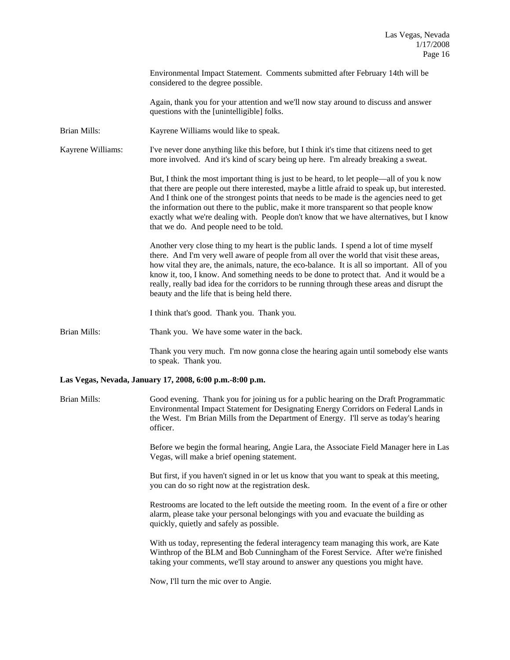Environmental Impact Statement. Comments submitted after February 14th will be considered to the degree possible.

 Again, thank you for your attention and we'll now stay around to discuss and answer questions with the [unintelligible] folks.

Brian Mills: Kayrene Williams would like to speak.

Kayrene Williams: I've never done anything like this before, but I think it's time that citizens need to get more involved. And it's kind of scary being up here. I'm already breaking a sweat.

> But, I think the most important thing is just to be heard, to let people—all of you k now that there are people out there interested, maybe a little afraid to speak up, but interested. And I think one of the strongest points that needs to be made is the agencies need to get the information out there to the public, make it more transparent so that people know exactly what we're dealing with. People don't know that we have alternatives, but I know that we do. And people need to be told.

> Another very close thing to my heart is the public lands. I spend a lot of time myself there. And I'm very well aware of people from all over the world that visit these areas, how vital they are, the animals, nature, the eco-balance. It is all so important. All of you know it, too, I know. And something needs to be done to protect that. And it would be a really, really bad idea for the corridors to be running through these areas and disrupt the beauty and the life that is being held there.

I think that's good. Thank you. Thank you.

Brian Mills: Thank you. We have some water in the back.

 Thank you very much. I'm now gonna close the hearing again until somebody else wants to speak. Thank you.

## **Las Vegas, Nevada, January 17, 2008, 6:00 p.m.-8:00 p.m.**

Brian Mills: Good evening. Thank you for joining us for a public hearing on the Draft Programmatic Environmental Impact Statement for Designating Energy Corridors on Federal Lands in the West. I'm Brian Mills from the Department of Energy. I'll serve as today's hearing officer.

> Before we begin the formal hearing, Angie Lara, the Associate Field Manager here in Las Vegas, will make a brief opening statement.

But first, if you haven't signed in or let us know that you want to speak at this meeting, you can do so right now at the registration desk.

Restrooms are located to the left outside the meeting room. In the event of a fire or other alarm, please take your personal belongings with you and evacuate the building as quickly, quietly and safely as possible.

With us today, representing the federal interagency team managing this work, are Kate Winthrop of the BLM and Bob Cunningham of the Forest Service. After we're finished taking your comments, we'll stay around to answer any questions you might have.

Now, I'll turn the mic over to Angie.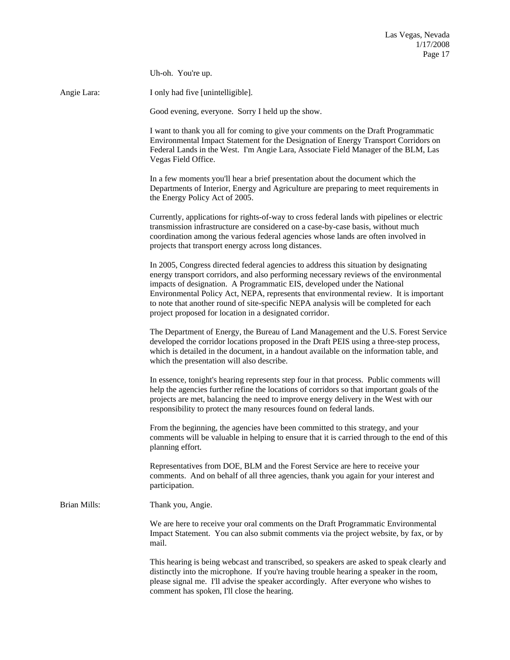|                     | Uh-oh. You're up.                                                                                                                                                                                                                                                                                                                                                                                                                                                                                      |
|---------------------|--------------------------------------------------------------------------------------------------------------------------------------------------------------------------------------------------------------------------------------------------------------------------------------------------------------------------------------------------------------------------------------------------------------------------------------------------------------------------------------------------------|
| Angie Lara:         | I only had five [unintelligible].                                                                                                                                                                                                                                                                                                                                                                                                                                                                      |
|                     | Good evening, everyone. Sorry I held up the show.                                                                                                                                                                                                                                                                                                                                                                                                                                                      |
|                     | I want to thank you all for coming to give your comments on the Draft Programmatic<br>Environmental Impact Statement for the Designation of Energy Transport Corridors on<br>Federal Lands in the West. I'm Angie Lara, Associate Field Manager of the BLM, Las<br>Vegas Field Office.                                                                                                                                                                                                                 |
|                     | In a few moments you'll hear a brief presentation about the document which the<br>Departments of Interior, Energy and Agriculture are preparing to meet requirements in<br>the Energy Policy Act of 2005.                                                                                                                                                                                                                                                                                              |
|                     | Currently, applications for rights-of-way to cross federal lands with pipelines or electric<br>transmission infrastructure are considered on a case-by-case basis, without much<br>coordination among the various federal agencies whose lands are often involved in<br>projects that transport energy across long distances.                                                                                                                                                                          |
|                     | In 2005, Congress directed federal agencies to address this situation by designating<br>energy transport corridors, and also performing necessary reviews of the environmental<br>impacts of designation. A Programmatic EIS, developed under the National<br>Environmental Policy Act, NEPA, represents that environmental review. It is important<br>to note that another round of site-specific NEPA analysis will be completed for each<br>project proposed for location in a designated corridor. |
|                     | The Department of Energy, the Bureau of Land Management and the U.S. Forest Service<br>developed the corridor locations proposed in the Draft PEIS using a three-step process,<br>which is detailed in the document, in a handout available on the information table, and<br>which the presentation will also describe.                                                                                                                                                                                |
|                     | In essence, tonight's hearing represents step four in that process. Public comments will<br>help the agencies further refine the locations of corridors so that important goals of the<br>projects are met, balancing the need to improve energy delivery in the West with our<br>responsibility to protect the many resources found on federal lands.                                                                                                                                                 |
|                     | From the beginning, the agencies have been committed to this strategy, and your<br>comments will be valuable in helping to ensure that it is carried through to the end of this<br>planning effort.                                                                                                                                                                                                                                                                                                    |
|                     | Representatives from DOE, BLM and the Forest Service are here to receive your<br>comments. And on behalf of all three agencies, thank you again for your interest and<br>participation.                                                                                                                                                                                                                                                                                                                |
| <b>Brian Mills:</b> | Thank you, Angie.                                                                                                                                                                                                                                                                                                                                                                                                                                                                                      |
|                     | We are here to receive your oral comments on the Draft Programmatic Environmental<br>Impact Statement. You can also submit comments via the project website, by fax, or by<br>mail.                                                                                                                                                                                                                                                                                                                    |
|                     | This hearing is being webcast and transcribed, so speakers are asked to speak clearly and<br>distinctly into the microphone. If you're having trouble hearing a speaker in the room,<br>please signal me. I'll advise the speaker accordingly. After everyone who wishes to<br>comment has spoken, I'll close the hearing.                                                                                                                                                                             |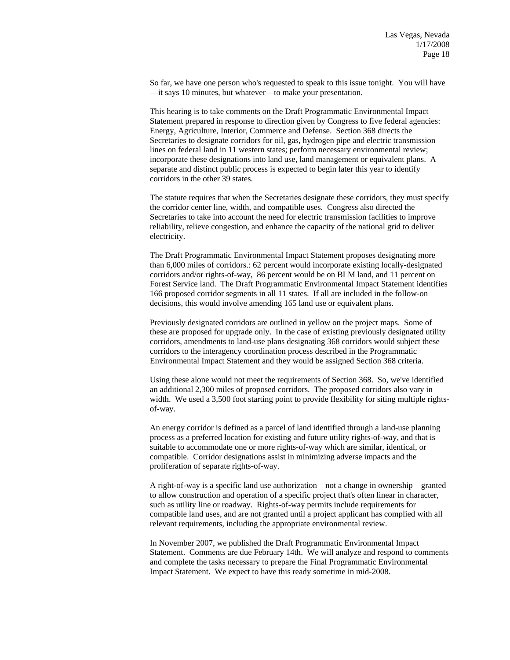So far, we have one person who's requested to speak to this issue tonight. You will have —it says 10 minutes, but whatever—to make your presentation.

 This hearing is to take comments on the Draft Programmatic Environmental Impact Statement prepared in response to direction given by Congress to five federal agencies: Energy, Agriculture, Interior, Commerce and Defense. Section 368 directs the Secretaries to designate corridors for oil, gas, hydrogen pipe and electric transmission lines on federal land in 11 western states; perform necessary environmental review; incorporate these designations into land use, land management or equivalent plans. A separate and distinct public process is expected to begin later this year to identify corridors in the other 39 states.

 The statute requires that when the Secretaries designate these corridors, they must specify the corridor center line, width, and compatible uses. Congress also directed the Secretaries to take into account the need for electric transmission facilities to improve reliability, relieve congestion, and enhance the capacity of the national grid to deliver electricity.

 The Draft Programmatic Environmental Impact Statement proposes designating more than 6,000 miles of corridors.: 62 percent would incorporate existing locally-designated corridors and/or rights-of-way, 86 percent would be on BLM land, and 11 percent on Forest Service land. The Draft Programmatic Environmental Impact Statement identifies 166 proposed corridor segments in all 11 states. If all are included in the follow-on decisions, this would involve amending 165 land use or equivalent plans.

 Previously designated corridors are outlined in yellow on the project maps. Some of these are proposed for upgrade only. In the case of existing previously designated utility corridors, amendments to land-use plans designating 368 corridors would subject these corridors to the interagency coordination process described in the Programmatic Environmental Impact Statement and they would be assigned Section 368 criteria.

 Using these alone would not meet the requirements of Section 368. So, we've identified an additional 2,300 miles of proposed corridors. The proposed corridors also vary in width. We used a 3,500 foot starting point to provide flexibility for siting multiple rightsof-way.

 An energy corridor is defined as a parcel of land identified through a land-use planning process as a preferred location for existing and future utility rights-of-way, and that is suitable to accommodate one or more rights-of-way which are similar, identical, or compatible. Corridor designations assist in minimizing adverse impacts and the proliferation of separate rights-of-way.

 A right-of-way is a specific land use authorization—not a change in ownership—granted to allow construction and operation of a specific project that's often linear in character, such as utility line or roadway. Rights-of-way permits include requirements for compatible land uses, and are not granted until a project applicant has complied with all relevant requirements, including the appropriate environmental review.

 In November 2007, we published the Draft Programmatic Environmental Impact Statement. Comments are due February 14th. We will analyze and respond to comments and complete the tasks necessary to prepare the Final Programmatic Environmental Impact Statement. We expect to have this ready sometime in mid-2008.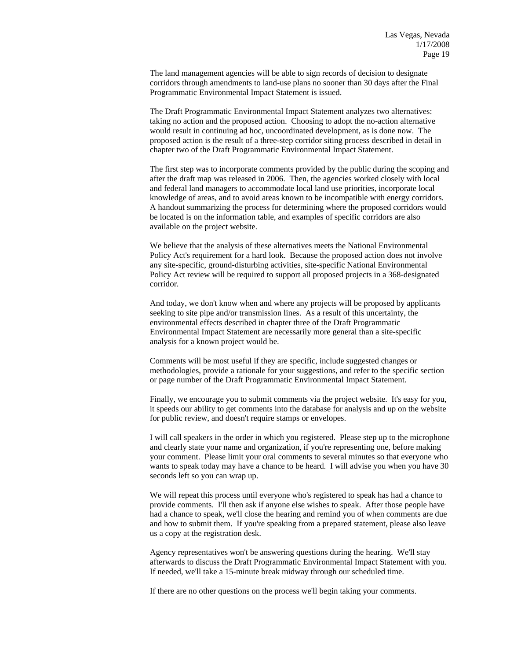The land management agencies will be able to sign records of decision to designate corridors through amendments to land-use plans no sooner than 30 days after the Final Programmatic Environmental Impact Statement is issued.

 The Draft Programmatic Environmental Impact Statement analyzes two alternatives: taking no action and the proposed action. Choosing to adopt the no-action alternative would result in continuing ad hoc, uncoordinated development, as is done now. The proposed action is the result of a three-step corridor siting process described in detail in chapter two of the Draft Programmatic Environmental Impact Statement.

 The first step was to incorporate comments provided by the public during the scoping and after the draft map was released in 2006. Then, the agencies worked closely with local and federal land managers to accommodate local land use priorities, incorporate local knowledge of areas, and to avoid areas known to be incompatible with energy corridors. A handout summarizing the process for determining where the proposed corridors would be located is on the information table, and examples of specific corridors are also available on the project website.

 We believe that the analysis of these alternatives meets the National Environmental Policy Act's requirement for a hard look. Because the proposed action does not involve any site-specific, ground-disturbing activities, site-specific National Environmental Policy Act review will be required to support all proposed projects in a 368-designated corridor.

 And today, we don't know when and where any projects will be proposed by applicants seeking to site pipe and/or transmission lines. As a result of this uncertainty, the environmental effects described in chapter three of the Draft Programmatic Environmental Impact Statement are necessarily more general than a site-specific analysis for a known project would be.

Comments will be most useful if they are specific, include suggested changes or methodologies, provide a rationale for your suggestions, and refer to the specific section or page number of the Draft Programmatic Environmental Impact Statement.

Finally, we encourage you to submit comments via the project website. It's easy for you, it speeds our ability to get comments into the database for analysis and up on the website for public review, and doesn't require stamps or envelopes.

I will call speakers in the order in which you registered. Please step up to the microphone and clearly state your name and organization, if you're representing one, before making your comment. Please limit your oral comments to several minutes so that everyone who wants to speak today may have a chance to be heard. I will advise you when you have 30 seconds left so you can wrap up.

We will repeat this process until everyone who's registered to speak has had a chance to provide comments. I'll then ask if anyone else wishes to speak. After those people have had a chance to speak, we'll close the hearing and remind you of when comments are due and how to submit them. If you're speaking from a prepared statement, please also leave us a copy at the registration desk.

Agency representatives won't be answering questions during the hearing. We'll stay afterwards to discuss the Draft Programmatic Environmental Impact Statement with you. If needed, we'll take a 15-minute break midway through our scheduled time.

If there are no other questions on the process we'll begin taking your comments.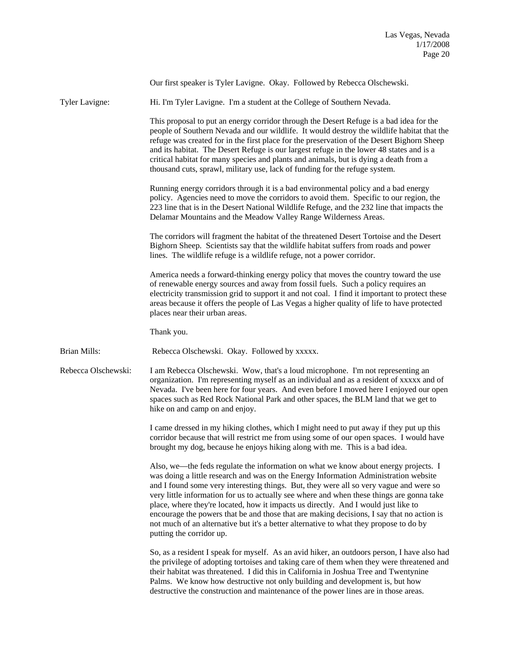Our first speaker is Tyler Lavigne. Okay. Followed by Rebecca Olschewski. Tyler Lavigne: Hi. I'm Tyler Lavigne. I'm a student at the College of Southern Nevada. This proposal to put an energy corridor through the Desert Refuge is a bad idea for the people of Southern Nevada and our wildlife. It would destroy the wildlife habitat that the refuge was created for in the first place for the preservation of the Desert Bighorn Sheep and its habitat. The Desert Refuge is our largest refuge in the lower 48 states and is a critical habitat for many species and plants and animals, but is dying a death from a thousand cuts, sprawl, military use, lack of funding for the refuge system. Running energy corridors through it is a bad environmental policy and a bad energy policy. Agencies need to move the corridors to avoid them. Specific to our region, the 223 line that is in the Desert National Wildlife Refuge, and the 232 line that impacts the Delamar Mountains and the Meadow Valley Range Wilderness Areas. The corridors will fragment the habitat of the threatened Desert Tortoise and the Desert Bighorn Sheep. Scientists say that the wildlife habitat suffers from roads and power lines. The wildlife refuge is a wildlife refuge, not a power corridor. America needs a forward-thinking energy policy that moves the country toward the use of renewable energy sources and away from fossil fuels. Such a policy requires an electricity transmission grid to support it and not coal. I find it important to protect these areas because it offers the people of Las Vegas a higher quality of life to have protected places near their urban areas. Thank you. Brian Mills: Rebecca Olschewski. Okay. Followed by xxxxx. Rebecca Olschewski: I am Rebecca Olschewski. Wow, that's a loud microphone. I'm not representing an organization. I'm representing myself as an individual and as a resident of xxxxx and of Nevada. I've been here for four years. And even before I moved here I enjoyed our open spaces such as Red Rock National Park and other spaces, the BLM land that we get to hike on and camp on and enjoy. I came dressed in my hiking clothes, which I might need to put away if they put up this corridor because that will restrict me from using some of our open spaces. I would have brought my dog, because he enjoys hiking along with me. This is a bad idea. Also, we—the feds regulate the information on what we know about energy projects. I was doing a little research and was on the Energy Information Administration website and I found some very interesting things. But, they were all so very vague and were so very little information for us to actually see where and when these things are gonna take place, where they're located, how it impacts us directly. And I would just like to encourage the powers that be and those that are making decisions, I say that no action is not much of an alternative but it's a better alternative to what they propose to do by putting the corridor up. So, as a resident I speak for myself. As an avid hiker, an outdoors person, I have also had the privilege of adopting tortoises and taking care of them when they were threatened and their habitat was threatened. I did this in California in Joshua Tree and Twentynine Palms. We know how destructive not only building and development is, but how destructive the construction and maintenance of the power lines are in those areas.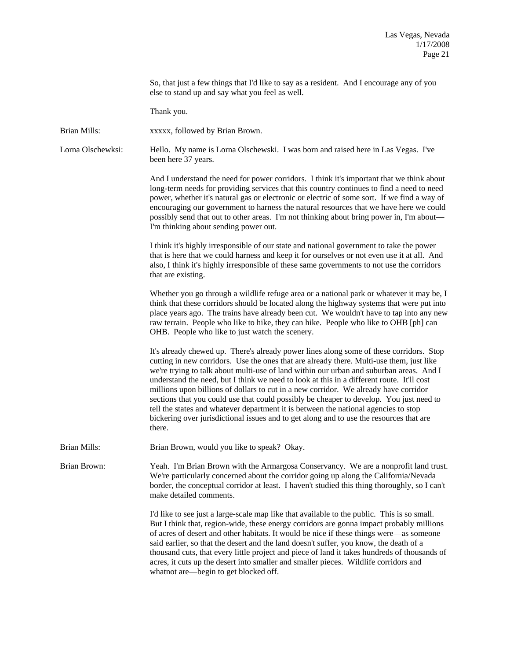So, that just a few things that I'd like to say as a resident. And I encourage any of you else to stand up and say what you feel as well.

Thank you.

Brian Mills: xxxxx, followed by Brian Brown.

Lorna Olschewksi: Hello. My name is Lorna Olschewski. I was born and raised here in Las Vegas. I've been here 37 years.

> And I understand the need for power corridors. I think it's important that we think about long-term needs for providing services that this country continues to find a need to need power, whether it's natural gas or electronic or electric of some sort. If we find a way of encouraging our government to harness the natural resources that we have here we could possibly send that out to other areas. I'm not thinking about bring power in, I'm about— I'm thinking about sending power out.

I think it's highly irresponsible of our state and national government to take the power that is here that we could harness and keep it for ourselves or not even use it at all. And also, I think it's highly irresponsible of these same governments to not use the corridors that are existing.

Whether you go through a wildlife refuge area or a national park or whatever it may be, I think that these corridors should be located along the highway systems that were put into place years ago. The trains have already been cut. We wouldn't have to tap into any new raw terrain. People who like to hike, they can hike. People who like to OHB [ph] can OHB. People who like to just watch the scenery.

It's already chewed up. There's already power lines along some of these corridors. Stop cutting in new corridors. Use the ones that are already there. Multi-use them, just like we're trying to talk about multi-use of land within our urban and suburban areas. And I understand the need, but I think we need to look at this in a different route. It'll cost millions upon billions of dollars to cut in a new corridor. We already have corridor sections that you could use that could possibly be cheaper to develop. You just need to tell the states and whatever department it is between the national agencies to stop bickering over jurisdictional issues and to get along and to use the resources that are there.

Brian Mills: Brian Brown, would you like to speak? Okay.

Brian Brown: Yeah. I'm Brian Brown with the Armargosa Conservancy. We are a nonprofit land trust. We're particularly concerned about the corridor going up along the California/Nevada border, the conceptual corridor at least. I haven't studied this thing thoroughly, so I can't make detailed comments.

> I'd like to see just a large-scale map like that available to the public. This is so small. But I think that, region-wide, these energy corridors are gonna impact probably millions of acres of desert and other habitats. It would be nice if these things were—as someone said earlier, so that the desert and the land doesn't suffer, you know, the death of a thousand cuts, that every little project and piece of land it takes hundreds of thousands of acres, it cuts up the desert into smaller and smaller pieces. Wildlife corridors and whatnot are—begin to get blocked off.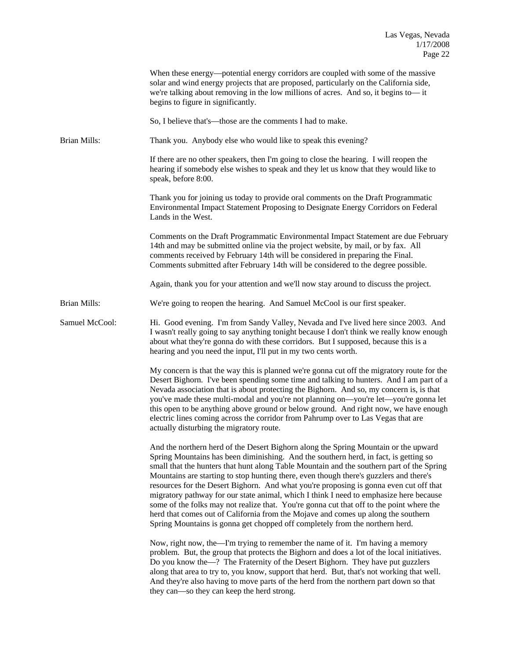|                     | When these energy—potential energy corridors are coupled with some of the massive<br>solar and wind energy projects that are proposed, particularly on the California side,<br>we're talking about removing in the low millions of acres. And so, it begins to—it<br>begins to figure in significantly.                                                                                                                                                                                                                                                                                                                                                                                                                                                                                                                 |
|---------------------|-------------------------------------------------------------------------------------------------------------------------------------------------------------------------------------------------------------------------------------------------------------------------------------------------------------------------------------------------------------------------------------------------------------------------------------------------------------------------------------------------------------------------------------------------------------------------------------------------------------------------------------------------------------------------------------------------------------------------------------------------------------------------------------------------------------------------|
|                     | So, I believe that's—those are the comments I had to make.                                                                                                                                                                                                                                                                                                                                                                                                                                                                                                                                                                                                                                                                                                                                                              |
| <b>Brian Mills:</b> | Thank you. Anybody else who would like to speak this evening?                                                                                                                                                                                                                                                                                                                                                                                                                                                                                                                                                                                                                                                                                                                                                           |
|                     | If there are no other speakers, then I'm going to close the hearing. I will reopen the<br>hearing if somebody else wishes to speak and they let us know that they would like to<br>speak, before 8:00.                                                                                                                                                                                                                                                                                                                                                                                                                                                                                                                                                                                                                  |
|                     | Thank you for joining us today to provide oral comments on the Draft Programmatic<br>Environmental Impact Statement Proposing to Designate Energy Corridors on Federal<br>Lands in the West.                                                                                                                                                                                                                                                                                                                                                                                                                                                                                                                                                                                                                            |
|                     | Comments on the Draft Programmatic Environmental Impact Statement are due February<br>14th and may be submitted online via the project website, by mail, or by fax. All<br>comments received by February 14th will be considered in preparing the Final.<br>Comments submitted after February 14th will be considered to the degree possible.                                                                                                                                                                                                                                                                                                                                                                                                                                                                           |
|                     | Again, thank you for your attention and we'll now stay around to discuss the project.                                                                                                                                                                                                                                                                                                                                                                                                                                                                                                                                                                                                                                                                                                                                   |
| <b>Brian Mills:</b> | We're going to reopen the hearing. And Samuel McCool is our first speaker.                                                                                                                                                                                                                                                                                                                                                                                                                                                                                                                                                                                                                                                                                                                                              |
| Samuel McCool:      | Hi. Good evening. I'm from Sandy Valley, Nevada and I've lived here since 2003. And<br>I wasn't really going to say anything tonight because I don't think we really know enough<br>about what they're gonna do with these corridors. But I supposed, because this is a<br>hearing and you need the input, I'll put in my two cents worth.                                                                                                                                                                                                                                                                                                                                                                                                                                                                              |
|                     | My concern is that the way this is planned we're gonna cut off the migratory route for the<br>Desert Bighorn. I've been spending some time and talking to hunters. And I am part of a<br>Nevada association that is about protecting the Bighorn. And so, my concern is, is that<br>you've made these multi-modal and you're not planning on-you're let-you're gonna let<br>this open to be anything above ground or below ground. And right now, we have enough<br>electric lines coming across the corridor from Pahrump over to Las Vegas that are<br>actually disturbing the migratory route.                                                                                                                                                                                                                       |
|                     | And the northern herd of the Desert Bighorn along the Spring Mountain or the upward<br>Spring Mountains has been diminishing. And the southern herd, in fact, is getting so<br>small that the hunters that hunt along Table Mountain and the southern part of the Spring<br>Mountains are starting to stop hunting there, even though there's guzzlers and there's<br>resources for the Desert Bighorn. And what you're proposing is gonna even cut off that<br>migratory pathway for our state animal, which I think I need to emphasize here because<br>some of the folks may not realize that. You're gonna cut that off to the point where the<br>herd that comes out of California from the Mojave and comes up along the southern<br>Spring Mountains is gonna get chopped off completely from the northern herd. |
|                     | Now, right now, the—I'm trying to remember the name of it. I'm having a memory<br>problem. But, the group that protects the Bighorn and does a lot of the local initiatives.<br>Do you know the-? The Fraternity of the Desert Bighorn. They have put guzzlers<br>along that area to try to, you know, support that herd. But, that's not working that well.<br>And they're also having to move parts of the herd from the northern part down so that<br>they can—so they can keep the herd strong.                                                                                                                                                                                                                                                                                                                     |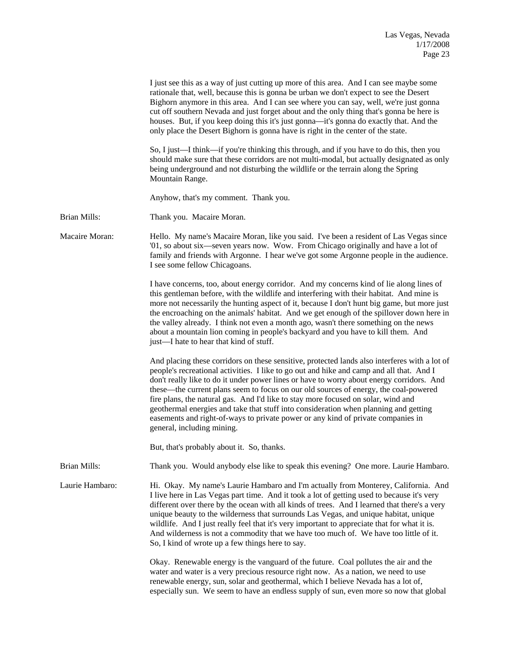|                 | I just see this as a way of just cutting up more of this area. And I can see maybe some<br>rationale that, well, because this is gonna be urban we don't expect to see the Desert<br>Bighorn anymore in this area. And I can see where you can say, well, we're just gonna<br>cut off southern Nevada and just forget about and the only thing that's gonna be here is<br>houses. But, if you keep doing this it's just gonna—it's gonna do exactly that. And the<br>only place the Desert Bighorn is gonna have is right in the center of the state.                                                                                                                         |
|-----------------|-------------------------------------------------------------------------------------------------------------------------------------------------------------------------------------------------------------------------------------------------------------------------------------------------------------------------------------------------------------------------------------------------------------------------------------------------------------------------------------------------------------------------------------------------------------------------------------------------------------------------------------------------------------------------------|
|                 | So, I just—I think—if you're thinking this through, and if you have to do this, then you<br>should make sure that these corridors are not multi-modal, but actually designated as only<br>being underground and not disturbing the wildlife or the terrain along the Spring<br>Mountain Range.                                                                                                                                                                                                                                                                                                                                                                                |
|                 | Anyhow, that's my comment. Thank you.                                                                                                                                                                                                                                                                                                                                                                                                                                                                                                                                                                                                                                         |
| Brian Mills:    | Thank you. Macaire Moran.                                                                                                                                                                                                                                                                                                                                                                                                                                                                                                                                                                                                                                                     |
| Macaire Moran:  | Hello. My name's Macaire Moran, like you said. I've been a resident of Las Vegas since<br>'01, so about six-seven years now. Wow. From Chicago originally and have a lot of<br>family and friends with Argonne. I hear we've got some Argonne people in the audience.<br>I see some fellow Chicagoans.                                                                                                                                                                                                                                                                                                                                                                        |
|                 | I have concerns, too, about energy corridor. And my concerns kind of lie along lines of<br>this gentleman before, with the wildlife and interfering with their habitat. And mine is<br>more not necessarily the hunting aspect of it, because I don't hunt big game, but more just<br>the encroaching on the animals' habitat. And we get enough of the spillover down here in<br>the valley already. I think not even a month ago, wasn't there something on the news<br>about a mountain lion coming in people's backyard and you have to kill them. And<br>just-I hate to hear that kind of stuff.                                                                         |
|                 | And placing these corridors on these sensitive, protected lands also interferes with a lot of<br>people's recreational activities. I like to go out and hike and camp and all that. And I<br>don't really like to do it under power lines or have to worry about energy corridors. And<br>these—the current plans seem to focus on our old sources of energy, the coal-powered<br>fire plans, the natural gas. And I'd like to stay more focused on solar, wind and<br>geothermal energies and take that stuff into consideration when planning and getting<br>easements and right-of-ways to private power or any kind of private companies in<br>general, including mining. |
|                 | But, that's probably about it. So, thanks.                                                                                                                                                                                                                                                                                                                                                                                                                                                                                                                                                                                                                                    |
| Brian Mills:    | Thank you. Would anybody else like to speak this evening? One more. Laurie Hambaro.                                                                                                                                                                                                                                                                                                                                                                                                                                                                                                                                                                                           |
| Laurie Hambaro: | Hi. Okay. My name's Laurie Hambaro and I'm actually from Monterey, California. And<br>I live here in Las Vegas part time. And it took a lot of getting used to because it's very<br>different over there by the ocean with all kinds of trees. And I learned that there's a very<br>unique beauty to the wilderness that surrounds Las Vegas, and unique habitat, unique<br>wildlife. And I just really feel that it's very important to appreciate that for what it is.<br>And wilderness is not a commodity that we have too much of. We have too little of it.<br>So, I kind of wrote up a few things here to say.                                                         |
|                 | Okay. Renewable energy is the vanguard of the future. Coal pollutes the air and the<br>water and water is a very precious resource right now. As a nation, we need to use<br>renewable energy, sun, solar and geothermal, which I believe Nevada has a lot of,<br>especially sun. We seem to have an endless supply of sun, even more so now that global                                                                                                                                                                                                                                                                                                                      |